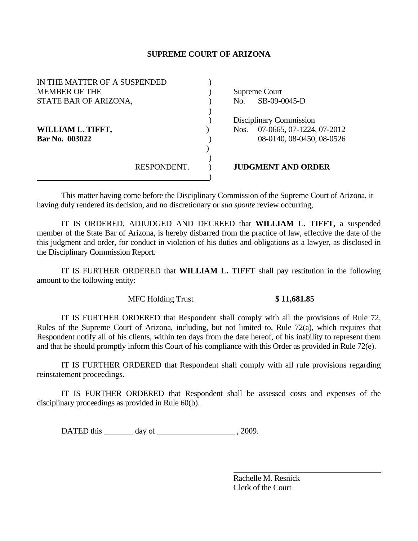## **SUPREME COURT OF ARIZONA**

| IN THE MATTER OF A SUSPENDED |  |                           |                           |
|------------------------------|--|---------------------------|---------------------------|
| <b>MEMBER OF THE</b>         |  |                           | Supreme Court             |
| STATE BAR OF ARIZONA,        |  | No.                       | SB-09-0045-D              |
|                              |  |                           |                           |
|                              |  | Disciplinary Commission   |                           |
| WILLIAM L. TIFFT,            |  | Nos.                      | 07-0665, 07-1224, 07-2012 |
| Bar No. 003022               |  |                           | 08-0140, 08-0450, 08-0526 |
|                              |  |                           |                           |
|                              |  |                           |                           |
| RESPONDENT.                  |  | <b>JUDGMENT AND ORDER</b> |                           |
|                              |  |                           |                           |

This matter having come before the Disciplinary Commission of the Supreme Court of Arizona, it having duly rendered its decision, and no discretionary or *sua sponte* review occurring,

 IT IS ORDERED, ADJUDGED AND DECREED that **WILLIAM L. TIFFT,** a suspended member of the State Bar of Arizona, is hereby disbarred from the practice of law, effective the date of the this judgment and order, for conduct in violation of his duties and obligations as a lawyer, as disclosed in the Disciplinary Commission Report.

 IT IS FURTHER ORDERED that **WILLIAM L. TIFFT** shall pay restitution in the following amount to the following entity:

## MFC Holding Trust **\$ 11,681.85**

 IT IS FURTHER ORDERED that Respondent shall comply with all the provisions of Rule 72, Rules of the Supreme Court of Arizona, including, but not limited to, Rule 72(a), which requires that Respondent notify all of his clients, within ten days from the date hereof, of his inability to represent them and that he should promptly inform this Court of his compliance with this Order as provided in Rule 72(e).

 IT IS FURTHER ORDERED that Respondent shall comply with all rule provisions regarding reinstatement proceedings.

 IT IS FURTHER ORDERED that Respondent shall be assessed costs and expenses of the disciplinary proceedings as provided in Rule 60(b).

DATED this day of 3009.

 Rachelle M. Resnick Clerk of the Court